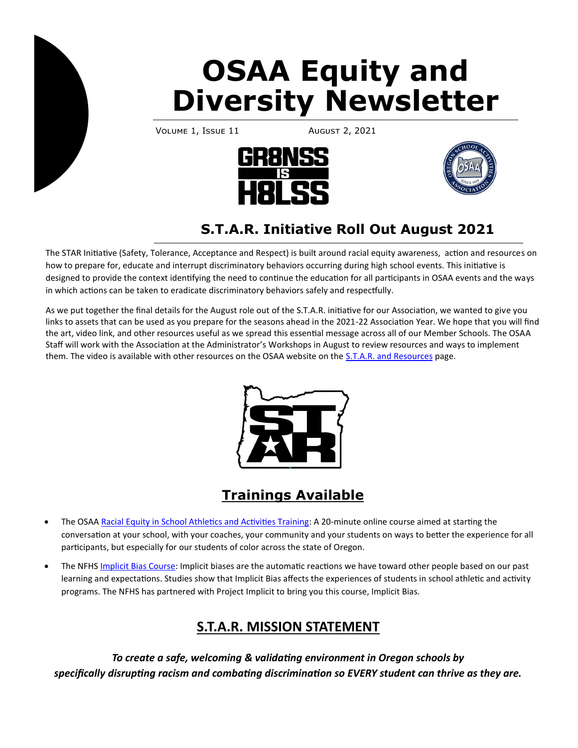# **OSAA Equity and Diversity Newsletter**

VOLUME 1, ISSUE 11 AUGUST 2, 2021





# **S.T.A.R. Initiative Roll Out August 2021**

The STAR Initiative (Safety, Tolerance, Acceptance and Respect) is built around racial equity awareness, action and resources on how to prepare for, educate and interrupt discriminatory behaviors occurring during high school events. This initiative is designed to provide the context identifying the need to continue the education for all participants in OSAA events and the ways in which actions can be taken to eradicate discriminatory behaviors safely and respectfully.

As we put together the final details for the August role out of the S.T.A.R. initiative for our Association, we wanted to give you links to assets that can be used as you prepare for the seasons ahead in the 2021-22 Association Year. We hope that you will find the art, video link, and other resources useful as we spread this essential message across all of our Member Schools. The OSAA Staff will work with the Association at the Administrator's Workshops in August to review resources and ways to implement them. The video is available with other resources on the OSAA website on the [S.T.A.R. and Resources](https://www.osaa.org/equity/star-resources) page.



## **Trainings Available**

- The OSAA [Racial Equity in School Athletics and Activities Training:](http://www.osaa.org/demo/training-courses/racial-equity/index.html) A 20-minute online course aimed at starting the conversation at your school, with your coaches, your community and your students on ways to better the experience for all participants, but especially for our students of color across the state of Oregon.
- The NFHS [Implicit Bias Course:](https://nfhslearn.com/courses/implicit-bias) Implicit biases are the automatic reactions we have toward other people based on our past learning and expectations. Studies show that Implicit Bias affects the experiences of students in school athletic and activity programs. The NFHS has partnered with Project Implicit to bring you this course, Implicit Bias.

## **S.T.A.R. MISSION STATEMENT**

*To create a safe, welcoming & validating environment in Oregon schools by specifically disrupting racism and combating discrimination so EVERY student can thrive as they are.*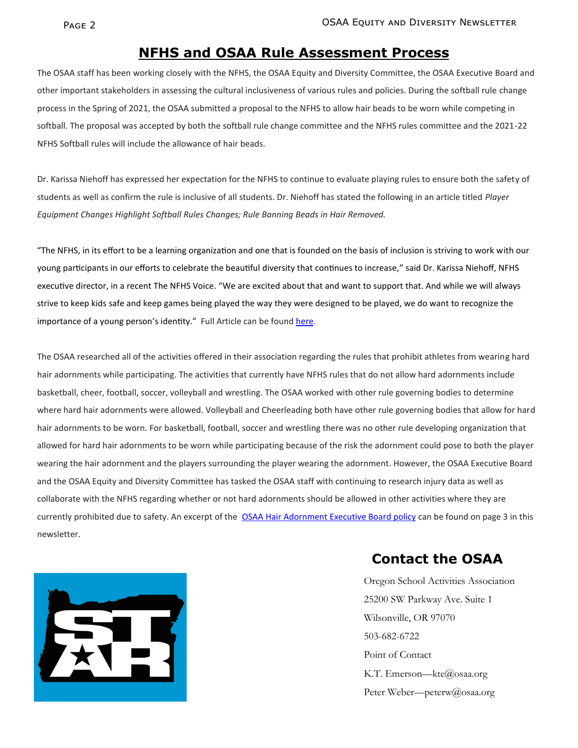#### **NFHS and OSAA Rule Assessment Process**

The OSAA staff has been working closely with the NFHS, the OSAA Equity and Diversity Committee, the OSAA Executive Board and other important stakeholders in assessing the cultural inclusiveness of various rules and policies. During the softball rule change process in the Spring of 2021, the OSAA submitted a proposal to the NFHS to allow hair beads to be worn while competing in softball. The proposal was accepted by both the softball rule change committee and the NFHS rules committee and the 2021-22 NFHS Softball rules will include the allowance of hair beads.

Dr. Karissa Niehoff has expressed her expectation for the NFHS to continue to evaluate playing rules to ensure both the safety of students as well as confirm the rule is inclusive of all students. Dr. Niehoff has stated the following in an article titled *Player Equipment Changes Highlight Softball Rules Changes; Rule Banning Beads in Hair Removed.*

"The NFHS, in its effort to be a learning organization and one that is founded on the basis of inclusion is striving to work with our young participants in our efforts to celebrate the beautiful diversity that continues to increase," said Dr. Karissa Niehoff, NFHS executive director, in a recent The NFHS Voice. "We are excited about that and want to support that. And while we will always strive to keep kids safe and keep games being played the way they were designed to be played, we do want to recognize the importance of a young person's identity." Full Article can be found here.

The OSAA researched all of the activities offered in their association regarding the rules that prohibit athletes from wearing hard hair adornments while participating. The activities that currently have NFHS rules that do not allow hard adornments include basketball, cheer, football, soccer, volleyball and wrestling. The OSAA worked with other rule governing bodies to determine where hard hair adornments were allowed. Volleyball and Cheerleading both have other rule governing bodies that allow for hard hair adornments to be worn. For basketball, football, soccer and wrestling there was no other rule developing organization that allowed for hard hair adornments to be worn while participating because of the risk the adornment could pose to both the player wearing the hair adornment and the players surrounding the player wearing the adornment. However, the OSAA Executive Board and the OSAA Equity and Diversity Committee has tasked the OSAA staff with continuing to research injury data as well as collaborate with the NFHS regarding whether or not hard adornments should be allowed in other activities where they are currently prohibited due to safety. An excerpt of the [OSAA Hair Adornment Executive Board policy](https://www.osaa.org/docs/handbooks/HairAdornmentBP.pdf) can be found on page 3 in this newsletter.



#### **Contact the OSAA**

Oregon School Activities Association 25200 SW Parkway Ave. Suite 1 Wilsonville, OR 97070 503-682-6722 Point of Contact K.T. Emerson—kte@osaa.org Peter Weber—peterw@osaa.org